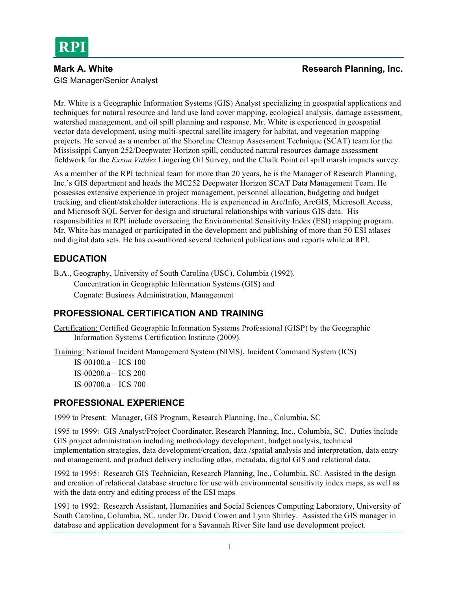# GIS Manager/Senior Analyst

#### **Mark A. White Research Planning, Inc. Research Planning, Inc.**

Mr. White is a Geographic Information Systems (GIS) Analyst specializing in geospatial applications and techniques for natural resource and land use land cover mapping, ecological analysis, damage assessment, watershed management, and oil spill planning and response. Mr. White is experienced in geospatial vector data development, using multi-spectral satellite imagery for habitat, and vegetation mapping projects. He served as a member of the Shoreline Cleanup Assessment Technique (SCAT) team for the Mississippi Canyon 252/Deepwater Horizon spill, conducted natural resources damage assessment fieldwork for the *Exxon Valdez* Lingering Oil Survey, and the Chalk Point oil spill marsh impacts survey.

As a member of the RPI technical team for more than 20 years, he is the Manager of Research Planning, Inc.'s GIS department and heads the MC252 Deepwater Horizon SCAT Data Management Team. He possesses extensive experience in project management, personnel allocation, budgeting and budget tracking, and client/stakeholder interactions. He is experienced in Arc/Info, ArcGIS, Microsoft Access, and Microsoft SQL Server for design and structural relationships with various GIS data. His responsibilities at RPI include overseeing the Environmental Sensitivity Index (ESI) mapping program. Mr. White has managed or participated in the development and publishing of more than 50 ESI atlases and digital data sets. He has co-authored several technical publications and reports while at RPI.

# **EDUCATION**

B.A., Geography, University of South Carolina (USC), Columbia (1992). Concentration in Geographic Information Systems (GIS) and Cognate: Business Administration, Management

# **PROFESSIONAL CERTIFICATION AND TRAINING**

Certification: Certified Geographic Information Systems Professional (GISP) by the Geographic Information Systems Certification Institute (2009).

Training: National Incident Management System (NIMS), Incident Command System (ICS)

IS-00100.a – ICS 100 IS-00200.a – ICS 200 IS-00700.a – ICS 700

## **PROFESSIONAL EXPERIENCE**

1999 to Present: Manager, GIS Program, Research Planning, Inc., Columbia, SC

1995 to 1999: GIS Analyst/Project Coordinator, Research Planning, Inc., Columbia, SC. Duties include GIS project administration including methodology development, budget analysis, technical implementation strategies, data development/creation, data /spatial analysis and interpretation, data entry and management, and product delivery including atlas, metadata, digital GIS and relational data.

1992 to 1995: Research GIS Technician, Research Planning, Inc., Columbia, SC. Assisted in the design and creation of relational database structure for use with environmental sensitivity index maps, as well as with the data entry and editing process of the ESI maps

1991 to 1992: Research Assistant, Humanities and Social Sciences Computing Laboratory, University of South Carolina, Columbia, SC. under Dr. David Cowen and Lynn Shirley. Assisted the GIS manager in database and application development for a Savannah River Site land use development project.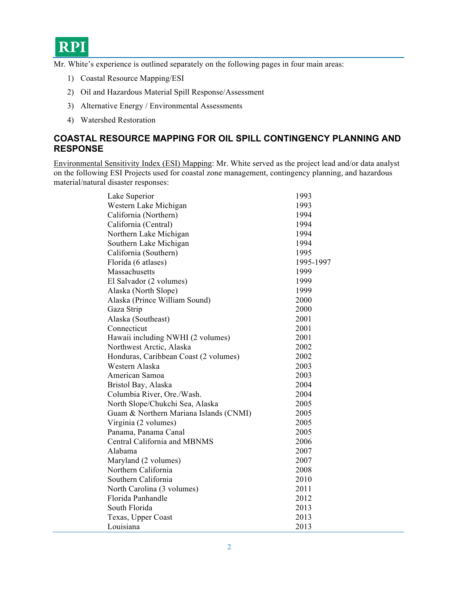

Mr. White's experience is outlined separately on the following pages in four main areas:

- 1) Coastal Resource Mapping/ESI
- 2) Oil and Hazardous Material Spill Response/Assessment
- 3) Alternative Energy / Environmental Assessments
- 4) Watershed Restoration

## **COASTAL RESOURCE MAPPING FOR OIL SPILL CONTINGENCY PLANNING AND RESPONSE**

Environmental Sensitivity Index (ESI) Mapping: Mr. White served as the project lead and/or data analyst on the following ESI Projects used for coastal zone management, contingency planning, and hazardous material/natural disaster responses:

| Lake Superior                          | 1993      |
|----------------------------------------|-----------|
| Western Lake Michigan                  | 1993      |
| California (Northern)                  | 1994      |
| California (Central)                   | 1994      |
| Northern Lake Michigan                 | 1994      |
| Southern Lake Michigan                 | 1994      |
| California (Southern)                  | 1995      |
| Florida (6 atlases)                    | 1995-1997 |
| Massachusetts                          | 1999      |
| El Salvador (2 volumes)                | 1999      |
| Alaska (North Slope)                   | 1999      |
| Alaska (Prince William Sound)          | 2000      |
| Gaza Strip                             | 2000      |
| Alaska (Southeast)                     | 2001      |
| Connecticut                            | 2001      |
| Hawaii including NWHI (2 volumes)      | 2001      |
| Northwest Arctic, Alaska               | 2002      |
| Honduras, Caribbean Coast (2 volumes)  | 2002      |
| Western Alaska                         | 2003      |
| American Samoa                         | 2003      |
| Bristol Bay, Alaska                    | 2004      |
| Columbia River, Ore./Wash.             | 2004      |
| North Slope/Chukchi Sea, Alaska        | 2005      |
| Guam & Northern Mariana Islands (CNMI) | 2005      |
| Virginia (2 volumes)                   | 2005      |
| Panama, Panama Canal                   | 2005      |
| Central California and MBNMS           | 2006      |
| Alabama                                | 2007      |
| Maryland (2 volumes)                   | 2007      |
| Northern California                    | 2008      |
| Southern California                    | 2010      |
| North Carolina (3 volumes)             | 2011      |
| Florida Panhandle                      | 2012      |
| South Florida                          | 2013      |
| Texas, Upper Coast                     | 2013      |
| Louisiana                              | 2013      |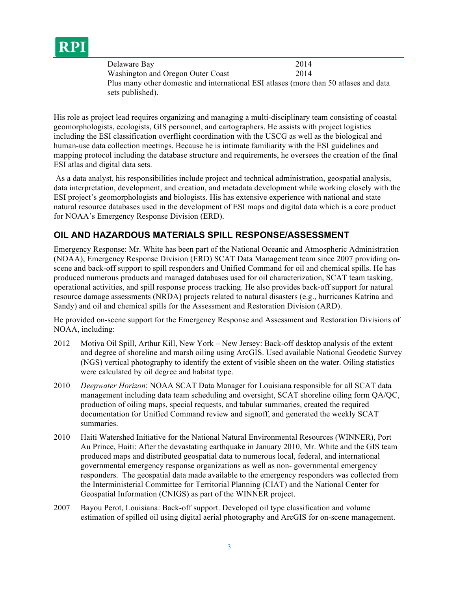

| Delaware Bay                                                                          | 2014 |
|---------------------------------------------------------------------------------------|------|
| Washington and Oregon Outer Coast                                                     | 2014 |
| Plus many other domestic and international ESI atlases (more than 50 atlases and data |      |
| sets published).                                                                      |      |

His role as project lead requires organizing and managing a multi-disciplinary team consisting of coastal geomorphologists, ecologists, GIS personnel, and cartographers. He assists with project logistics including the ESI classification overflight coordination with the USCG as well as the biological and human-use data collection meetings. Because he is intimate familiarity with the ESI guidelines and mapping protocol including the database structure and requirements, he oversees the creation of the final ESI atlas and digital data sets.

As a data analyst, his responsibilities include project and technical administration, geospatial analysis, data interpretation, development, and creation, and metadata development while working closely with the ESI project's geomorphologists and biologists. His has extensive experience with national and state natural resource databases used in the development of ESI maps and digital data which is a core product for NOAA's Emergency Response Division (ERD).

#### **OIL AND HAZARDOUS MATERIALS SPILL RESPONSE/ASSESSMENT**

Emergency Response: Mr. White has been part of the National Oceanic and Atmospheric Administration (NOAA), Emergency Response Division (ERD) SCAT Data Management team since 2007 providing onscene and back-off support to spill responders and Unified Command for oil and chemical spills. He has produced numerous products and managed databases used for oil characterization, SCAT team tasking, operational activities, and spill response process tracking. He also provides back-off support for natural resource damage assessments (NRDA) projects related to natural disasters (e.g., hurricanes Katrina and Sandy) and oil and chemical spills for the Assessment and Restoration Division (ARD).

He provided on-scene support for the Emergency Response and Assessment and Restoration Divisions of NOAA, including:

- 2012 Motiva Oil Spill, Arthur Kill, New York New Jersey: Back-off desktop analysis of the extent and degree of shoreline and marsh oiling using ArcGIS. Used available National Geodetic Survey (NGS) vertical photography to identify the extent of visible sheen on the water. Oiling statistics were calculated by oil degree and habitat type.
- 2010 *Deepwater Horizon*: NOAA SCAT Data Manager for Louisiana responsible for all SCAT data management including data team scheduling and oversight, SCAT shoreline oiling form QA/QC, production of oiling maps, special requests, and tabular summaries, created the required documentation for Unified Command review and signoff, and generated the weekly SCAT summaries.
- 2010 Haiti Watershed Initiative for the National Natural Environmental Resources (WINNER), Port Au Prince, Haiti: After the devastating earthquake in January 2010, Mr. White and the GIS team produced maps and distributed geospatial data to numerous local, federal, and international governmental emergency response organizations as well as non- governmental emergency responders. The geospatial data made available to the emergency responders was collected from the Interministerial Committee for Territorial Planning (CIAT) and the National Center for Geospatial Information (CNIGS) as part of the WINNER project.
- 2007 Bayou Perot, Louisiana: Back-off support. Developed oil type classification and volume estimation of spilled oil using digital aerial photography and ArcGIS for on-scene management.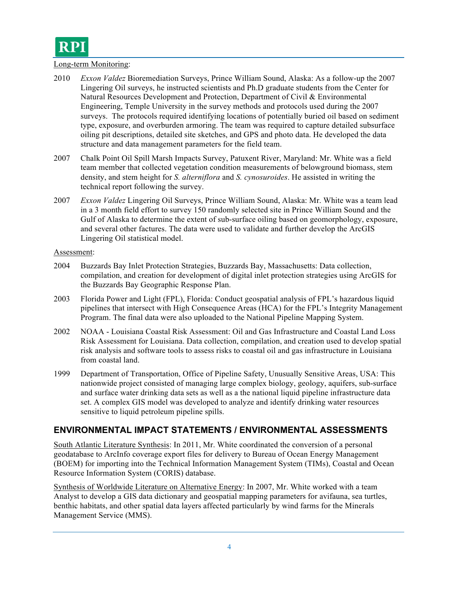

#### Long-term Monitoring:

- 2010 *Exxon Valdez* Bioremediation Surveys, Prince William Sound, Alaska: As a follow-up the 2007 Lingering Oil surveys, he instructed scientists and Ph.D graduate students from the Center for Natural Resources Development and Protection, Department of Civil & Environmental Engineering, Temple University in the survey methods and protocols used during the 2007 surveys. The protocols required identifying locations of potentially buried oil based on sediment type, exposure, and overburden armoring. The team was required to capture detailed subsurface oiling pit descriptions, detailed site sketches, and GPS and photo data. He developed the data structure and data management parameters for the field team.
- 2007 Chalk Point Oil Spill Marsh Impacts Survey, Patuxent River, Maryland: Mr. White was a field team member that collected vegetation condition measurements of belowground biomass, stem density, and stem height for *S. alterniflora* and *S. cynosuroides*. He assisted in writing the technical report following the survey.
- 2007 *Exxon Valdez* Lingering Oil Surveys, Prince William Sound, Alaska: Mr. White was a team lead in a 3 month field effort to survey 150 randomly selected site in Prince William Sound and the Gulf of Alaska to determine the extent of sub-surface oiling based on geomorphology, exposure, and several other factures. The data were used to validate and further develop the ArcGIS Lingering Oil statistical model.

#### Assessment:

- 2004 Buzzards Bay Inlet Protection Strategies, Buzzards Bay, Massachusetts: Data collection, compilation, and creation for development of digital inlet protection strategies using ArcGIS for the Buzzards Bay Geographic Response Plan.
- 2003 Florida Power and Light (FPL), Florida: Conduct geospatial analysis of FPL's hazardous liquid pipelines that intersect with High Consequence Areas (HCA) for the FPL's Integrity Management Program. The final data were also uploaded to the National Pipeline Mapping System.
- 2002 NOAA Louisiana Coastal Risk Assessment: Oil and Gas Infrastructure and Coastal Land Loss Risk Assessment for Louisiana. Data collection, compilation, and creation used to develop spatial risk analysis and software tools to assess risks to coastal oil and gas infrastructure in Louisiana from coastal land.
- 1999 Department of Transportation, Office of Pipeline Safety, Unusually Sensitive Areas, USA: This nationwide project consisted of managing large complex biology, geology, aquifers, sub-surface and surface water drinking data sets as well as a the national liquid pipeline infrastructure data set. A complex GIS model was developed to analyze and identify drinking water resources sensitive to liquid petroleum pipeline spills.

#### **ENVIRONMENTAL IMPACT STATEMENTS / ENVIRONMENTAL ASSESSMENTS**

South Atlantic Literature Synthesis: In 2011, Mr. White coordinated the conversion of a personal geodatabase to ArcInfo coverage export files for delivery to Bureau of Ocean Energy Management (BOEM) for importing into the Technical Information Management System (TIMs), Coastal and Ocean Resource Information System (CORIS) database.

Synthesis of Worldwide Literature on Alternative Energy: In 2007, Mr. White worked with a team Analyst to develop a GIS data dictionary and geospatial mapping parameters for avifauna, sea turtles, benthic habitats, and other spatial data layers affected particularly by wind farms for the Minerals Management Service (MMS).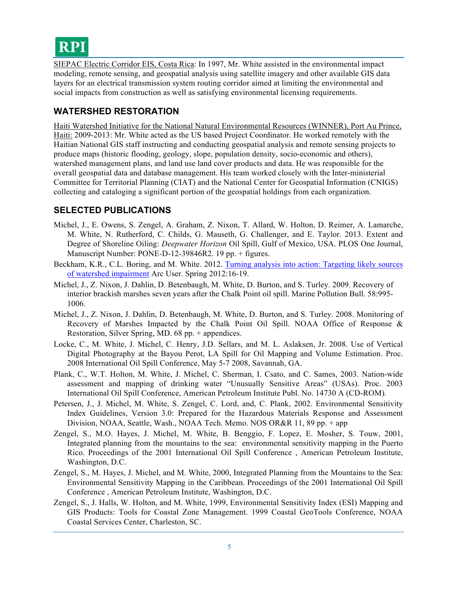

SIEPAC Electric Corridor EIS, Costa Rica: In 1997, Mr. White assisted in the environmental impact modeling, remote sensing, and geospatial analysis using satellite imagery and other available GIS data layers for an electrical transmission system routing corridor aimed at limiting the environmental and social impacts from construction as well as satisfying environmental licensing requirements.

#### **WATERSHED RESTORATION**

Haiti Watershed Initiative for the National Natural Environmental Resources (WINNER), Port Au Prince, Haiti: 2009-2013: Mr. White acted as the US based Project Coordinator. He worked remotely with the Haitian National GIS staff instructing and conducting geospatial analysis and remote sensing projects to produce maps (historic flooding, geology, slope, population density, socio-economic and others), watershed management plans, and land use land cover products and data. He was responsible for the overall geospatial data and database management. His team worked closely with the Inter-ministerial Committee for Territorial Planning (CIAT) and the National Center for Geospatial Information (CNIGS) collecting and cataloging a significant portion of the geospatial holdings from each organization.

## **SELECTED PUBLICATIONS**

- Michel, J., E. Owens, S. Zengel, A. Graham, Z. Nixon, T. Allard, W. Holton, D. Reimer, A. Lamarche, M. White, N. Rutherford, C. Childs, G. Mauseth, G. Challenger, and E. Taylor. 2013. Extent and Degree of Shoreline Oiling: *Deepwater Horizon* Oil Spill, Gulf of Mexico, USA. PLOS One Journal, Manuscript Number: PONE-D-12-39846R2. 19 pp. + figures.
- Beckham, K.R., C.L. Boring, and M. White. 2012. Turning analysis into action: Targeting likely sources of watershed impairment Arc User. Spring 2012:16-19.
- Michel, J., Z. Nixon, J. Dahlin, D. Betenbaugh, M. White, D. Burton, and S. Turley. 2009. Recovery of interior brackish marshes seven years after the Chalk Point oil spill. Marine Pollution Bull. 58:995- 1006.
- Michel, J., Z. Nixon, J. Dahlin, D. Betenbaugh, M. White, D. Burton, and S. Turley. 2008. Monitoring of Recovery of Marshes Impacted by the Chalk Point Oil Spill. NOAA Office of Response & Restoration, Silver Spring, MD. 68 pp. + appendices.
- Locke, C., M. White, J. Michel, C. Henry, J.D. Sellars, and M. L. Aslaksen, Jr. 2008. Use of Vertical Digital Photography at the Bayou Perot, LA Spill for Oil Mapping and Volume Estimation. Proc. 2008 International Oil Spill Conference, May 5-7 2008, Savannah, GA.
- Plank, C., W.T. Holton, M. White, J. Michel, C. Sherman, I. Csato, and C. Sames, 2003. Nation-wide assessment and mapping of drinking water "Unusually Sensitive Areas" (USAs). Proc. 2003 International Oil Spill Conference, American Petroleum Institute Publ. No. 14730 A (CD-ROM).
- Petersen, J., J. Michel, M. White, S. Zengel, C. Lord, and, C. Plank, 2002. Environmental Sensitivity Index Guidelines, Version 3.0: Prepared for the Hazardous Materials Response and Assessment Division, NOAA, Seattle, Wash., NOAA Tech. Memo. NOS OR&R 11, 89 pp. + app
- Zengel, S., M.O. Hayes, J. Michel, M. White, B. Benggio, F. Lopez, E. Mosher, S. Touw, 2001, Integrated planning from the mountains to the sea: environmental sensitivity mapping in the Puerto Rico. Proceedings of the 2001 International Oil Spill Conference , American Petroleum Institute, Washington, D.C.
- Zengel, S., M. Hayes, J. Michel, and M. White, 2000, Integrated Planning from the Mountains to the Sea: Environmental Sensitivity Mapping in the Caribbean. Proceedings of the 2001 International Oil Spill Conference , American Petroleum Institute, Washington, D.C.
- Zengel, S., J. Halls, W. Holton, and M. White, 1999, Environmental Sensitivity Index (ESI) Mapping and GIS Products: Tools for Coastal Zone Management. 1999 Coastal GeoTools Conference, NOAA Coastal Services Center, Charleston, SC.